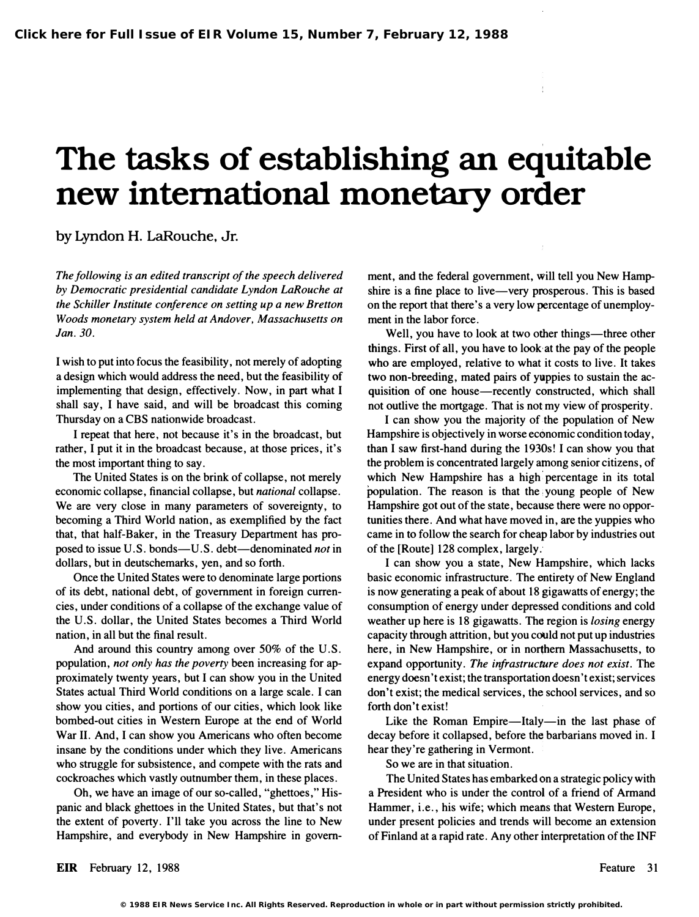# The tasks of establishing an equitable new international monetary order

by Lyndon H. LaRouche. Jr.

The following is an edited transcript of the speech delivered by Democratic presidential candidate Lyndon LaRouche at the Schiller Institute conference on setting up a new Bretton Woods monetary system held at Andover, Massachusetts on Jan. 30.

I wish to put into focus the feasibility, not merely of adopting a design which would address the need, but the feasibility of implementing that design, effectively. Now, in part what I shall say, I have said, and will be broadcast this coming Thursday on a CBS nationwide broadcast.

I repeat that here, not because it's in the broadcast, but rather, I put it in the broadcast because, at those prices, it's the most important thing to say.

The United States is on the brink of collapse, not merely economic collapse, financial collapse, but national collapse. We are very close in many parameters of sovereignty, to becoming a Third World nation, as exemplified by the fact that, that half-Baker, in the Treasury Department has proposed to issue U.S. bonds-U.S. debt-denominated not in dollars, but in deutschemarks, yen, and so forth.

Once the United States were to denominate large portions of its debt, national debt, of government in foreign currencies, under conditions of a collapse of the exchange value of the U.S. dollar, the United States becomes a Third World nation, in all but the final result.

And around this country among over 50% of the U.S. population, not only has the poverty been increasing for approximately twenty years, but I can show you in the United States actual Third World conditions on a large scale. I can show you cities, and portions of our cities, which look like bombed-out cities in Western Europe at the end of World War II. And, I can show you Americans who often become insane by the conditions under which they live. Americans who struggle for subsistence, and compete with the rats and cockroaches which vastly outnumber them, in these places.

Oh, we have an image of our so-called, "ghettoes," Hispanic and black ghettoes in the United States, but that's not the extent of poverty. I'll take you across the line to New Hampshire, and everybody in New Hampshire in government, and the federal government, will tell you New Hampshire is a fine place to live-very prosperous. This is based on the report that there's a very low percentage of unemployment in the labor force.

Well, you have to look at two other things—three other things. First of all, you have to look'at the pay of the people who are employed, relative to what it costs to live. It takes two non-breeding, mated pairs of yuppies to sustain the acquisition of one house-recently constructed, which shall not outlive the mortgage. That is not my view of prosperity.

I can show you the majority of the population of New Hampshire is objectively in worse economic condition today, than I saw first-hand during the 1930s! I can show you that the problem is concentrated largely among senior citizens, of which New Hampshire has a high percentage in its total population. The reason is that the young people of New Hampshire got out of the state, because there were no opportunities there. And what have moved in, are the yuppies who came in to follow the search for cheap labor by industries out of the [Route] 128 complex, largely.

I can show you a state, New Hampshire, which lacks basic economic infrastructure. The entirety of New England is now generating a peak of about 18 gigawatts of energy; the consumption of energy under depressed conditions and cold weather up here is 18 gigawatts. The region is losing energy capacity through attrition, but you could not put up industries here, in New Hampshire, or in northern Massachusetts, to expand opportunity. The infrastructure does not exist. The energy doesn't exist; the transportation doesn't exist; services don't exist; the medical services, the school services, and so forth don't exist!

Like the Roman Empire-Italy-in the last phase of decay before it collapsed, before the barbarians moved in. I hear they're gathering in Vermont.

So we are in that situation.

The United States has embarked on a strategic policy with a President who is under the control of a friend of Armand Hammer, i.e., his wife; which means that Western Europe, under present policies and trends will become an extension of Finland at a rapid rate. Any other interpretation of the INF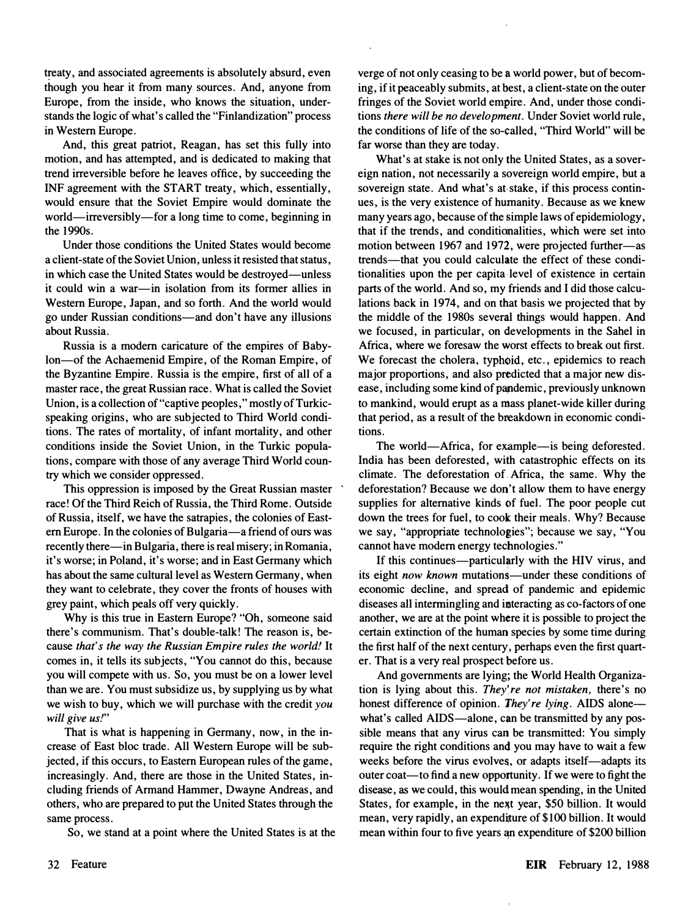treaty, and associated agreements is absolutely absurd, even though you hear it from many sources. And, anyone from Europe, from the inside, who knows the situation, understands the logic of what's called the "Finlandization " process in Western Europe.

And, this great patriot, Reagan, has set this fully into motion, and has attempted, and is dedicated to making that trend irreversible before he leaves office, by succeeding the INF agreement with the START treaty, which, essentially, would ensure that the Soviet Empire would dominate the world—irreversibly—for a long time to come, beginning in the 1990s.

Under those conditions the United States would become a client-state of the Soviet Union, unless it resisted that status, in which case the United States would be destroyed—unless it could win a war-in isolation from its former allies in Western Europe, Japan, and so forth. And the world would go under Russian conditions-and don't have any illusions about Russia.

Russia is a modern caricature of the empires of Babylon-of the Achaemenid Empire, of the Roman Empire, of the Byzantine Empire. Russia is the empire, first of all of a master race, the great Russian race. What is called the Soviet Union, is a collection of "captive peoples, " mostly of Turkicspeaking origins, who are subjected to Third World conditions. The rates of mortality, of infant mortality, and other conditions inside the Soviet Union, in the Turkic populations, compare with those of any average Third World country which we consider oppressed.

This oppression is imposed by the Great Russian master race! Of the Third Reich of Russia, the Third Rome. Outside of Russia, itself, we have the satrapies, the colonies of Eastern Europe. In the colonies of Bulgaria-a friend of ours was recently there—in Bulgaria, there is real misery; in Romania, it's worse; in Poland, it's worse; and in East Germany which has about the same cultural level as Western Germany, when they want to celebrate, they cover the fronts of houses with grey paint, which peals off very quickly.

Why is this true in Eastern Europe? "Oh, someone said there's communism. That's double-talk! The reason is, because that's the way the Russian Empire rules the world! It comes in, it tells its subjects, "You cannot do this, because you will compete with us. So, you must be on a lower level than we are. You must subsidize us, by supplying us by what we wish to buy, which we will purchase with the credit you will give us!"

That is what is happening in Germany, now, in the increase of East bloc trade. All Western Europe will be subjected, if this occurs, to Eastern European rules of the game, increasingly. And, there are those in the United States, including friends of Armand Hammer, Dwayne Andreas, and others, who are prepared to put the United States through the same process.

So, we stand at a point where the United States is at the

verge of not only ceasing to be a world power, but of becoming, if it peaceably submits, at best, a client-state on the outer fringes of the Soviet world empire. And, under those conditions there will be no development. Under Soviet world rule, the conditions of life of the so-called, "Third World" will be far worse than they are today.

What's at stake is not only the United States, as a sovereign nation, not necessarily a sovereign world empire, but a sovereign state. And what's at stake, if this process continues, is the very existence of humanity. Because as we knew many years ago, because of the simple laws of epidemiology, that if the trends, and conditionalities, which were set into motion between 1967 and 1972, were projected further-as trends-that you could calculate the effect of these conditionalities upon the per capita level of existence in certain parts of the world. And so, my friends and I did those calculations back in 1974, and on that basis we projected that by the middle of the 1980s several things would happen. And we focused, in particular, on developments in the Sahel in Africa, where we foresaw the worst effects to break out first. We forecast the cholera, typhoid, etc., epidemics to reach major proportions, and also predicted that a major new disease, including some kind of pandemic, previously unknown to mankind, would erupt as a mass planet-wide killer during that period, as a result of the breakdown in economic conditions.

The world-Africa, for example- is being deforested. India has been deforested, with catastrophic effects on its climate. The deforestation of Africa, the same. Why the deforestation? Because we don't allow them to have energy supplies for alternative kinds of fuel. The poor people cut down the trees for fuel, to cook their meals. Why? Because we say, "appropriate technologies"; because we say, "You cannot have modern energy technologies."

If this continues—particularly with the HIV virus, and its eight now known mutations-under these conditions of economic decline, and spread of pandemic and epidemic diseases all intermingling and interacting as co-factors of one another, we are at the point where it is possible to project the certain extinction of the human species by some time during the first half of the next century, perhaps even the first quarter. That is a very real prospect before us.

And governments are lying; the World Health Organization is lying about this. They're not mistaken, there's no honest difference of opinion. They're lying. AIDS alonewhat's called AIDS—alone, can be transmitted by any possible means that any virus can be transmitted: You simply require the right conditions and you may have to wait a few weeks before the virus evolves, or adapts itself—adapts its outer coat—to find a new opportunity. If we were to fight the disease, as we could, this would mean spending, in the United States, for example, in the next year, \$50 billion. It would mean, very rapidly, an expenditure of \$100 billion. It would mean within four to five years an expenditure of \$200 billion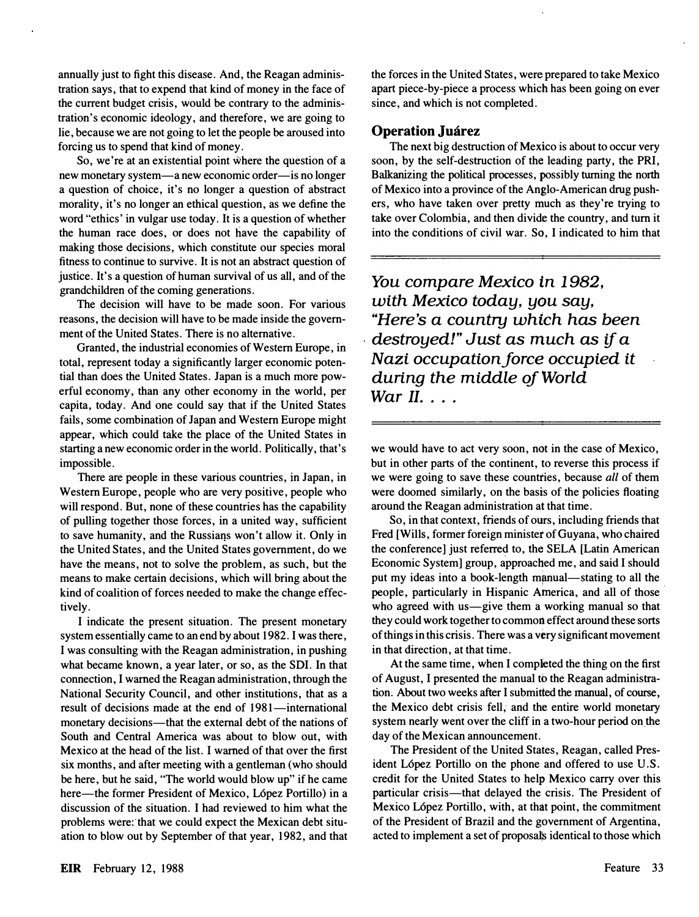annually just to fight this disease. And, the Reagan administration says, that to expend that kind of money in the face of the current budget crisis, would be contrary to the administration's economic ideology, and therefore, we are going to lie, because we are not going to let the people be aroused into forcing us to spend that kind of money.

So, we're at an existential point where the question of a new monetary system—a new economic order—is no longer a question of choice, it's no longer a question of abstract morality, it's no longer an ethical question, as we define the word "ethics' in vulgar use today. It is a question of whether the human race does, or does not have the capability of making those decisions, which constitute our species moral fitness to continue to survive. It is not an abstract question of justice. It's a question of human survival of us all, and of the grandchildren of the coming generations.

The decision will have to be made soon. For various reasons, the decision will have to be made inside the government of the United States. There is no alternative.

Granted, the industrial economies of Western Europe, in total, represent today a significantly larger economic potential than does the United States. Japan is a much more powerful economy, than any other economy in the world, per capita, today. And one could say that if the United States fails, some combination of Japan and Western Europe might appear, which could take the place of the United States in starting a new economic order in the world. Politically, that's impossible.

There are people in these various countries, in Japan, in Western Europe, people who are very positive, people who will respond. But, none of these countries has the capability of pulling together those forces, in a united way, sufficient to save humanity, and the Russians won't allow it. Only in the United States, and the United States government, do we have the means, not to solve the problem, as such, but the means to make certain decisions, which will bring about the kind of coalition of forces needed to make the change effectively.

I indicate the present situation. The present monetary system essentially came to an end by about 1982. I was there, I was consulting with the Reagan administration, in pushing what became known, a year later, or so, as the SDI. In that connection, I warned the Reagan administration, through the National Security Council, and other institutions, that as a result of decisions made at the end of 1981—international monetary decisions—that the external debt of the nations of South and Central America was about to blow out, with Mexico at the head of the list. I warned of that over the first six months, and after meeting with a gentleman (who should be here, but he said, "The world would blow up" if he came here-the former President of Mexico, López Portillo) in a discussion of the situation. I had reviewed .to him what the problems were: that we could expect the Mexican debt situation to blow out by September of that year, 1982, and that the forces in the United States, were prepared to take Mexico apart piece-by-piece a process which has been going on ever since, and which is not completed.

## Operation Juarez

The next big destruction of Mexico is about to occur very soon, by the self-destruction of the leading party, the PRI, Balkanizing the political processes, possibly turning the north of Mexico into a province of the Anglo-American drug pushers, who have taken over pretty much as they're trying to take over Colombia, and then divide the country, and tum it into the conditions of civil war. So, I indicated to him that

You compare Mexico tn 1982, with Mexico today, you say, "Here's a country whtch has been destroyed!" Just as much as if a Nazi occupation jorce occupied it during the middle qf World War II. . . .

we would have to act very soon, not in the case of Mexico, but in other parts of the continent, to reverse this process if we were going to save these countries, because all of them were doomed similarly, on the basis of the policies floating around the Reagan administration at that time.

So, in that context, friends of ours, including friends that Fred [Wills, former foreign minister of Guyana, who chaired the conference] just referred to, the SELA [Latin American Economic System] group, approached me, and said I should put my ideas into a book-length manual—stating to all the people, particularly in Hispanic America, and all of those' who agreed with us—give them a working manual so that they could work together to commorl effect around these sorts of things in this crisis. There was a very significant movement in that direction, at that time.

At the same time, when I completed the thing on the first of August, I presented the manual to the Reagan administration. About two weeks after I submitted the manual, of course, the Mexico debt crisis fell, and the entire world monetary system nearly went over the cliff in 'a two-hour period on the day of the Mexican announcement.

The President of the United States, Reagan, called President L6pez Portillo on the phone and offered to use U.S. credit for the United States to help Mexico carry over this particular crisis—that delayed the crisis. The President of Mexico L6pez Portillo, with, at that point, the commitment of the President of Brazil and the government of Argentina, acted to implement a set of proposals identical to those which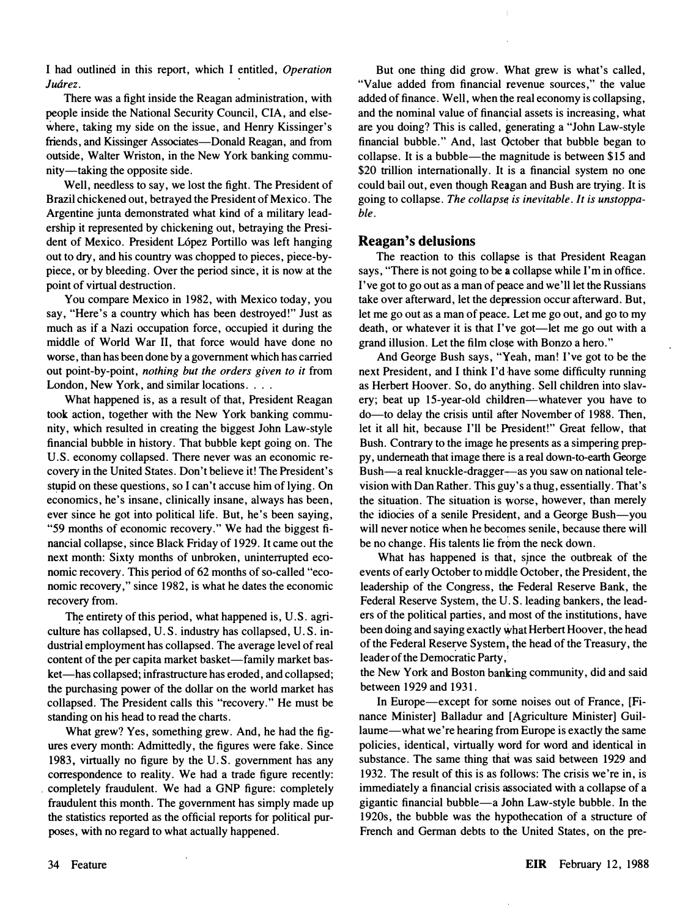I had outlined in this report, which I entitled, Operation Juárez.

There was a fight inside the Reagan administration, with people inside the National Security Council, CIA, and elsewhere, taking my side on the issue, and Henry Kissinger's friends, and Kissinger Associates-Donald Reagan, and from outside, Walter Wriston, in the New York banking community—taking the opposite side.

Well, needless to say, we lost the fight. The President of Brazil chickened out, betrayed the President of Mexico. The Argentine junta demonstrated what kind of a military leadership it represented by chickening out, betraying the President of Mexico. President López Portillo was left hanging out to dry, and his country was chopped to pieces, piece-bypiece, or by bleeding. Over the period since, it is now at the point of virtual destruction.

You compare Mexico in 1982, with Mexico today, you say, "Here's a country which has been destroyed!" Just as much as if a Nazi occupation force, occupied it during the middle of World War II, that force would have done no worse, than has been done by a government which has carried out point-by-point, nothing but the orders given to it from London, New York, and similar locations. . . .

What happened is, as a result of that, President Reagan took action, together with the New York banking community, which resulted in creating the biggest John Law-style financial bubble in history. That bubble kept going on. The U.S. economy collapsed. There never was an economic recovery in the United States. Don't believe it! The President's stupid on these questions, so I can't accuse him of lying. On economics, he's insane, clinically insane, always has been, ever since he got into political life. But, he's been saying, "59 months of economic recovery." We had the biggest financial collapse, since Black Friday of 1929. It came out the next month: Sixty months of unbroken, uninterrupted economic recovery. This period of 62 months of so-called "economic recovery," since 1982, is what he dates the economic recovery from.

The entirety of this period, what happened is, U. S. agriculture has collapsed, U.S. industry has collapsed, U.S. industrial employment has collapsed. The average level of real content of the per capita market basket—family market basket-has collapsed; infrastructure has eroded, and collapsed; the purchasing power of the dollar on the world market has collapsed. The President calls this "recovery." He must be standing on his head to read the charts.

What grew? Yes, something grew. And, he had the figures every month: Admittedly, the figures were fake. Since 1983, virtually no figure by the U.S. government has any correspondence to reality. We had a trade figure recently: completely fraudulent. We had a GNP figure: completely fraudulent this month. The government has simply made up the statistics reported as the official reports for political purposes, with no regard to what actually happened.

But one thing did grow. What grew is what's called, "Value added from financial revenue sources," the value added of finance. Well, when the real economy is collapsing, and the nominal value of financial assets is increasing, what are you doing? This is called, generating a "John Law-style financial bubble." And, last October that bubble began to collapse. It is a bubble—the magnitude is between \$15 and \$20 trillion internationally. It is a financial system no one could bail out, even though Reagan and Bush are trying. It is going to collapse. The collapse is inevitable. It is unstoppable.

## Reagan's delusions

The reaction to this collapse is that President Reagan says, "There is not going to be a collapse while I'm in office. I've got to go out as a man of peace and we'll let the Russians take over afterward, let the depression occur afterward. But, let me go out as a man of peace. Let me go out, and go to my death, or whatever it is that I've got—let me go out with a grand illusion. Let the film close with Bonzo a hero."

And George Bush says, "Yeah, man! I've got to be the next President, and I think I'd have some difficulty running as Herbert Hoover. So, do anything. Sell children into slavery; beat up 15-year-old children-whatever you have to do-to delay the crisis until after November of 1988. Then, let it all hit, because I'll be President!" Great fellow, that Bush. Contrary to the image he presents as a simpering preppy, underneath that image there is a real down-to-earth George Bush-a real knuckle-dragger-as you saw on national television with Dan Rather. This guy's a thug, essentially. That's the situation. The situation is worse, however, than merely the idiocies of a senile President, and a George Bush-you will never notice when he becomes senile, because there will be no change. His talents lie from the neck down.

What has happened is that, since the outbreak of the events of early October to middle October, the President, the leadership of the Congress, the Federal Reserve Bank, the Federal Reserve System, the U.S. leading bankers, the leaders of the political parties, and most of the institutions, have been doing and saying exactly what Herbert Hoover, the head of the Federal Reserve System; the head of the Treasury, the leader of the Democratic Party,

the New York and Boston banking community, did and said between 1929 and 1931.

In Europe—except for some noises out of France, [Finance Minister] Balladur and [Agriculture Minister] Guillaume—what we're hearing from Europe is exactly the same policies, identical, virtually word for word and identical in substance. The same thing that was said between 1929 and 1932. The result of this is as follows: The crisis we're in, is immediately a financial crisis associated with a collapse of a gigantic financial bubble-a John Law-style bubble. In the 1920s, the bubble was the hypothecation of a structure of French and German debts to the United States, on the pre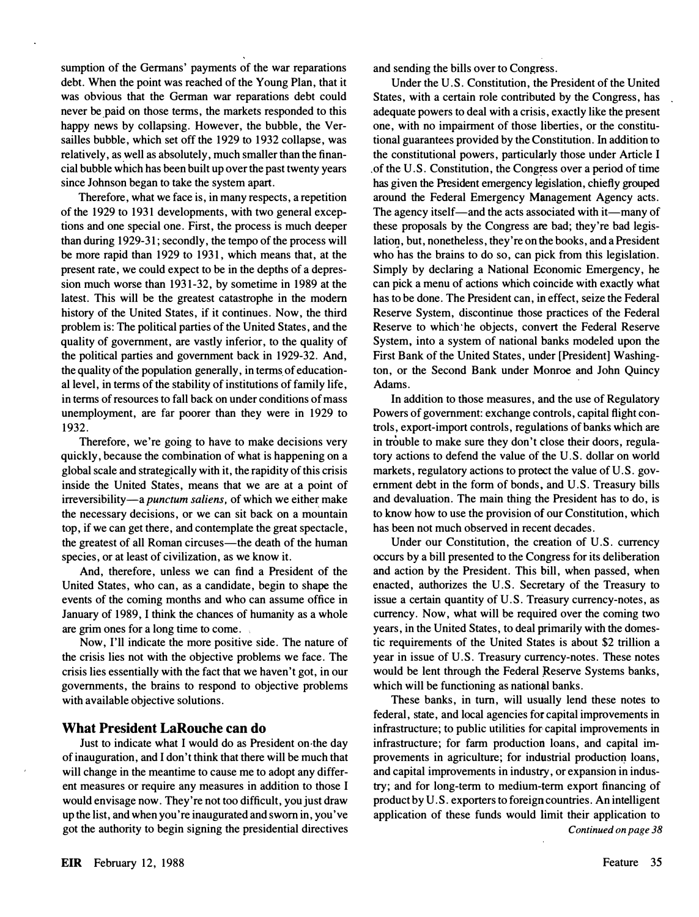sumption of the Germans' payments of the war reparations debt. When the point was reached of the Young Plan, that it was obvious that the German war reparations debt could never be paid on those terms, the markets responded to this happy news by collapsing. However, the bubble, the Versailles bubble, which set off the 1929 to 1932 collapse, was relatively, as well as absolutely, much smaller than the financial bubble which has been built up over the past twenty years since Johnson began to take the system apart.

Therefore, what we face is, in many respects, a repetition of the 1929 to 1931 developments, with two general exceptions and one special one. First, the process is much deeper than during 1929-31; secondly, the tempo of the process will be more rapid than 1929 to 1931, which means that, at the present rate, we could expect to be in the depths of a depression much worse than 1931-32, by sometime in 1989 at the latest. This will be the greatest catastrophe in the modem history of the United States, if it continues. Now, the third problem is: The political parties of the United States, and the quality of government, are vastly inferior, to the quality of the political parties and government back in 1929-32. And, the quality of the population generally, in terms of educational level, in terms of the stability of institutions of family life, in terms of resources to fall back on under conditions of mass unemployment, are far poorer than they were in 1929 to 1932.

Therefore, we're going to have to make decisions very quickly, because the combination of what is happening on a global scale and strategically with it, the rapidity of this crisis inside the United States, means that we are at a point of irreversibility-a punctum saliens, of which we either make the necessary decisions, or we can sit back on a mountain top, if we can get there, and contemplate the great spectacle, the greatest of all Roman circuses—the death of the human species, or at least of civilization, as we know it.

And, therefore, unless we can find a President of the United States, who can, as a candidate, begin to shape the events of the coming months and who can assume office in January of 1989, I think the chances of humanity as a whole are grim ones for a long time to come.

Now, I'll indicate the more positive side. The nature of the crisis lies not with the objective problems we face. The crisis lies essentially with the fact that we haven't got, in our governments, the brains to respond to objective problems with available objective solutions.

## What President LaRouche can do

Just to indicate what I would do as President on-the day of inauguration, and I don't think that there will be much that will change in the meantime to cause me to adopt any different measures or require any measures in addition to those I would envisage now. They're not too difficult, you just draw up the list, and when you're inaugurated and sworn in, you've got the authority to begin signing the presidential directives and sending the bills over to Congress.

Under the U. S. Constitution, the President of the United States, with a certain role contributed by the Congress, has adequate powers to deal with a crisis, exactly like the present one, with no impairment of those liberties, or the constitutional guarantees provided by the Constitution. In addition to the constitutional powers, particularly those under Article I .of the U. S. Constitution, the Congress over a period of time has given the President emergency legislation, chiefly grouped around the Federal Emergency Management Agency acts. The agency itself—and the acts associated with it—many of these proposals by the Congress are bad; they're bad legislation, but, nonetheless, they're on the books, and a President who has the brains to do so, can pick from this legislation. Simply by declaring a National Economic Emergency, he can pick a menu of actions which coincide with exactly what has to be done. The President can, in effect, seize the Federal Reserve System, discontinue those practices of the Federal Reserve to which he objects, convert the Federal Reserve System, into a system of national banks modeled upon the First Bank of the United States, under [President] Washington, or the Second Bank under Monroe and John Quincy<br>Adams.

In addition to those measures, and the use of Regulatory Powers of government: exchange controls, capital flight controls, export-import controls, regulations of banks which are in trouble to make sure they don't close their doors, regulatory actions to defend the value of the U. S. dollar on world markets, regulatory actions to protect the value of U.S. government debt in the form of bonds, and U.S. Treasury bills and devaluation. The main thing the President has to do, is to know how to use the provision of our Constitution, which has been not much observed in recent decades.

Under our Constitution, the creation of U.S. currency occurs by a bill presented to the Congress for its deliberation and action by the President. This bill, when passed, when enacted, authorizes the U. S. Secretary of the Treasury to issue a certain quantity of U. S. Treasury currency-notes, as currency. Now, what will be required over the coming two years, in the United States, to deal primarily with the domestic requirements of the United States is about \$2 trillion a year in issue of U.S. Treasury currency-notes. These notes would be lent through the Federal Reserve Systems banks, which will be functioning as national banks.

These banks, in tum, will usually lend these notes to federal, state, and local agencies for capital improvements in infrastructure; to public utilities for capital improvements in infrastructure; for farm production loans, and capital improvements in agriculture; for industrial production loans, and capital improvements in industry, or expansion in industry; and for long-term to medium-term export financing of product by U. S. exporters to foreign countries. An intelligent application of these funds would limit their application to Continued on page 38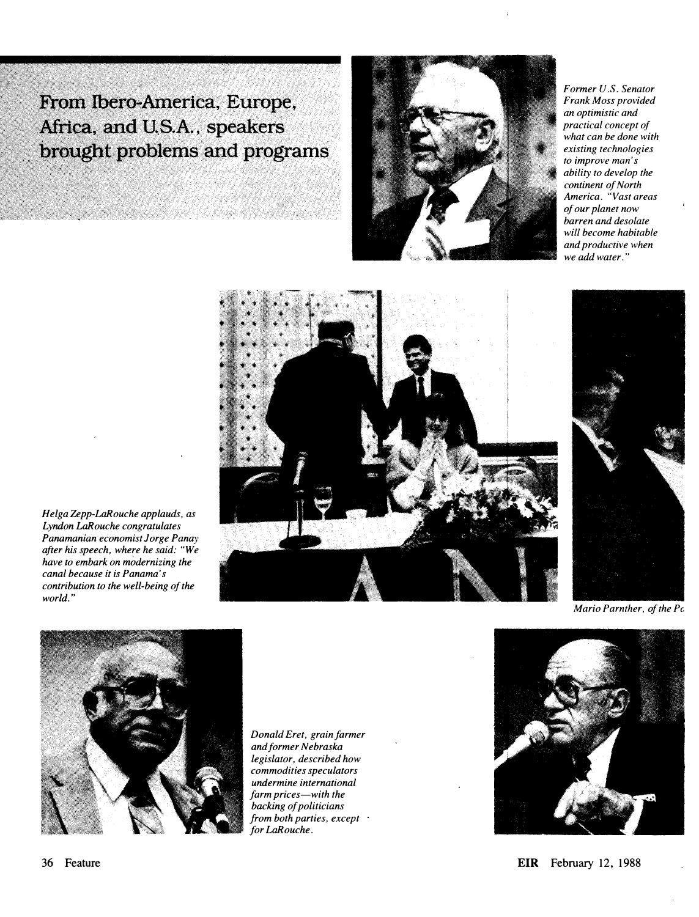From Ibero-America, Europe, Africa, and U.S.A., speakers brought problems and programs



Former U.S. Senator Frank Moss provided an optimistic and practical concept of what can be done with existing technologies to improve man's ability to develop the continent of North America. "Vast areas of our planet now barren and desolate will become habitable and productive when we add water. "



Helga Zepp-LaRouche applauds, as Lyndon LaRouche congratulates Panamanian economist Jorge Pana), after his speech, where he said: "We have to embark on modernizing the canal because it is Panama's contribution to the well-being of the world."



Donald Eret, grain farmer and former Nebraska legislator, described how commodities speculators undermine international farm prices-with the backing of politicians from both parties, except for LaRouche.

Mario Parnther, of the Pc.

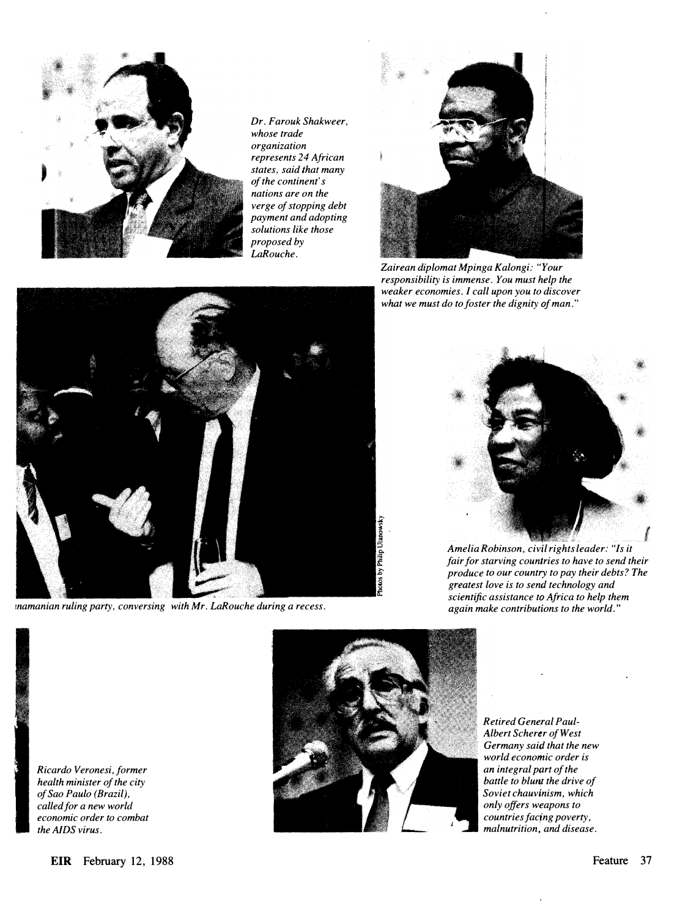

Dr. Farouk Shakweer. whose trade organization represents 24 African states. said that many of the continent's nations are on the verge of stopping debt payment and adopting solutions like those proposed by LaRouche.



Zairean diplomat Mpinga Kalongi: "Your responsibility is immense . You must help the weaker economies. I call upon you to discover what we must do to foster the dignity of man."



!Ilamanian ruling party. conversing with Mr. LaRouche during a recess.



Amelia Robinson. civil rights leader: "/s it fair for starving countries to have to send their produce to our country to pay their debts? The greatest love is to send technology and scientific assistance to Africa to help them again make contributions to the world."

Ricardo Veronesi. former health minister of the city of Sao Paulo (Brazil). called for a new world economic order to combat the AIDS virus.



Retired General Paul-Albert Scherer of West Germany said that the new world economic order is an integral part of the battle to blunt the drive of Soviet chauvinism. which only offers weapons to countries facing poverty, malnutrition, and disease.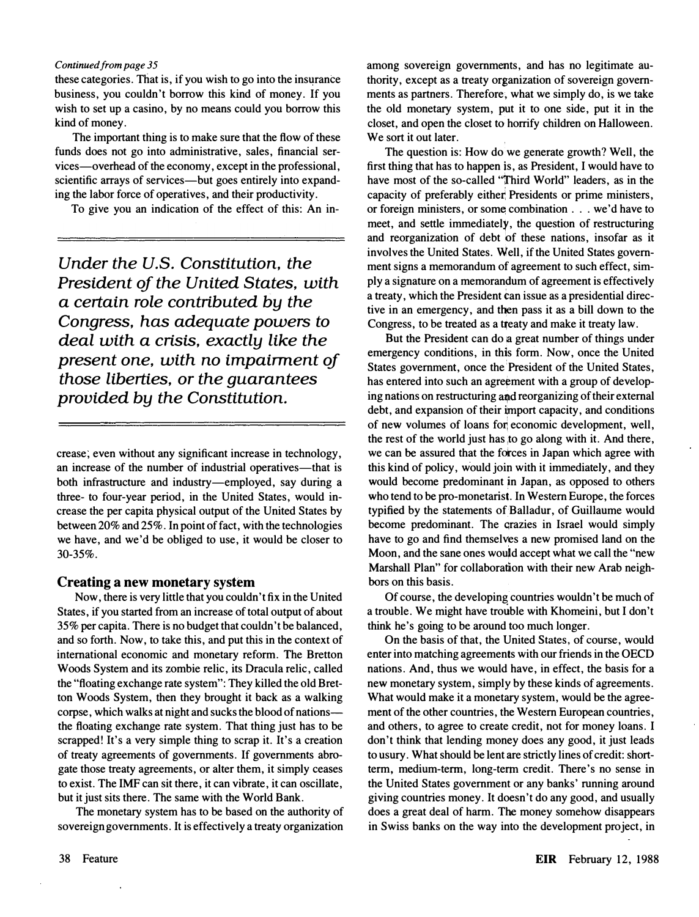#### Continued from page 35

these categories. That is, if you wish to go into the insurance business, you couldn't borrow this kind of money. If you wish to set up a casino, by no means could you borrow this kind of money.

The important thing is to make sure that the flow of these funds does not go into administrative, sales, financial services-overhead of the economy, except in the professional, scientific arrays of services—but goes entirely into expanding the labor force of operatives, and their productivity.

To give you an indication of the effect of this: An in-

Under the U.S. Constitution, the President oj the United States, with a certain role contributed by the Congress, has adequate powers to deal with a crisis, exactly like the present one, with no impairment of those liberties, or the guarantees provided by the Constitution.

crease, even without any significant increase in technology, an increase of the number of industrial operatives—that is both infrastructure and industry-employed, say during a three- to four-year period, in the United States, would increase the per capita physical output of the United States by between 20% and 25%. In point of fact, with the technologies we have, and we'd be obliged to use, it would be closer to 30-35%.

## Creating a new monetary system

Now, there is very little that you couldn't fix in the United States, if you started from an increase of total output of about 35% per capita. There is no budget that couldn't be balanced, and so forth. Now, to take this, and put this in the context of international economic and monetary reform. The Bretton Woods System and its zombie relic, its Dracula relic, called the "floating exchange rate system ": They killed the old Bretton Woods System, then they brought it back as a walking corpse, which walks at night and sucks the blood of nationsthe floating exchange rate system. That thing just has to be scrapped! It's a very simple thing to scrap it. It's a creation of treaty agreements of governments. If governments abrogate those treaty agreements, or alter them, it simply ceases to exist. The IMF can sit there, it can vibrate, it can oscillate, but it just sits there. The same with the World Bank.

The monetary system has to be based on the authority of sovereign governments. It is effectively a treaty organization among sovereign governments, and has no legitimate authority, except as a treaty organization of sovereign governments as partners. Therefore, what we simply do, is we take the old monetary system, put it to one side, put it in the closet, and open the closet to horrify children on Halloween. We sort it out later.

The question is: How do we generate growth? Well, the first thing that has to happen is, as President, I would have to have most of the so-called "Third World" leaders, as in the capacity of preferably either Presidents or prime ministers, or foreign ministers, or some combination . . . we'd have to meet, and settle immediately, the question of restructuring and reorganization of debt of these nations, insofar as it involves the United States. Well, if the United States government signs a memorandum of agreement to such effect, simply a signature on a memorandum of agreement is effectively a treaty, which the President can issue as a presidential directive in an emergency, and then pass it as a bill down to the Congress, to be treated as a treaty and make it treaty law.

But the President can do a great number of things under emergency conditions, in this form. Now, once the United States government, once the President of the United States, has entered into such an agreement with a group of developing nations on restructuring and reorganizing of their external debt, and expansion of their import capacity, and conditions of new volumes of loans for economic development, well, the rest of the world just has to go along with it. And there, we can be assured that the forces in Japan which agree with this kind of policy, would join with it immediately, and they would become predominant in Japan, as opposed to others who tend to be pro-monetarist. In Western Europe, the forces typified by the statements of Balladur, of Guillaume would become predominant. The qrazies in Israel would simply have to go and find themselves a new promised land on the Moon, and the sane ones would accept what we call the "new Marshall Plan" for collaboration with their new Arab neighbors on this basis.

Of course, the developing countries wouldn't be much of a trouble. We might have trouble with Khomeini, but I don't think he's going to be around too much longer.

On the basis of that, the United States, of course, would enter into matching agreements with our friends in the OECD nations. And, thus we would have, in effect, the basis for a new monetary system, simply by these kinds of agreements. What would make it a monetary system, would be the agreement of the other countries, the Western European countries, and others, to agree to create credit, not for money loans. I don't think that lending money does any good, it just leads to usury. What should be lent are strictly lines of credit: shortterm, medium-term, long-term credit. There's no sense in the United States government or any banks' running around giving countries money. It doesn't do any good, and usually does a great deal of harm. The money somehow disappears in Swiss banks on the way into the development project, in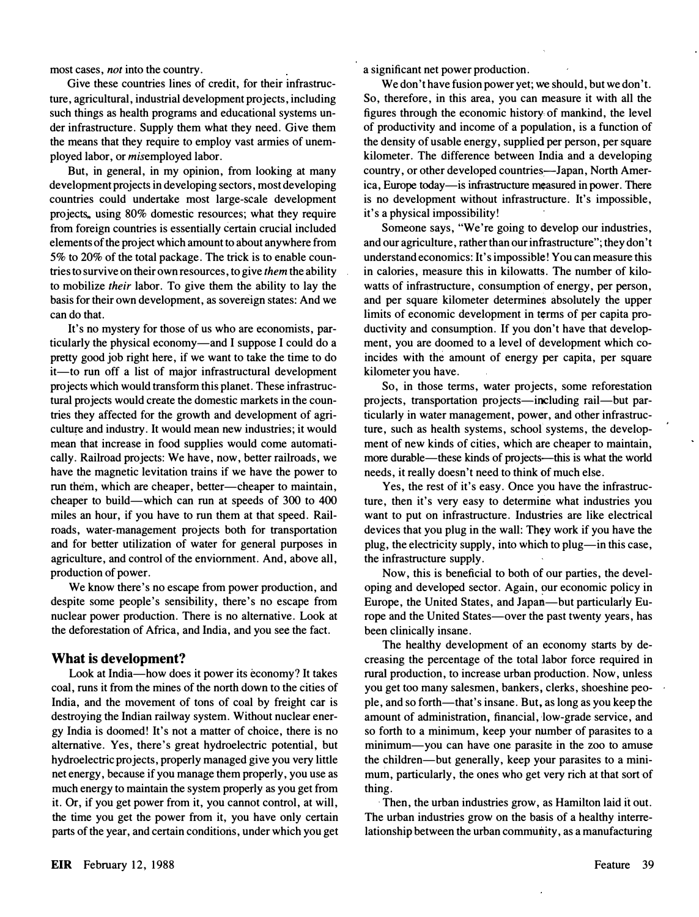most cases, not into the country.

Give these countries lines of credit, for their infrastructure, agricultural, industrial development projects, including such things as health programs and educational systems under infrastructure. Supply them what they need. Give them the means that they require to employ vast armies of unemployed labor, or misemployed labor.

But, in general, in my opinion, from looking at many development projects in developing sectors, most developing countries could undertake most large-scale development projects, using 80% domestic resources; what they require from foreign countries is essentially certain crucial included elements of the project which amount to about anywhere from 5% to 20% of the total package. The trick is to enable countries to survive on their own resources, to give *them* the ability to mobilize their labor. To give them the ability to lay the basis for their own development, as sovereign states: And we can do that.

It's no mystery for those of us who are economists, particularly the physical economy—and I suppose I could do a pretty good job right here, if we want to take the time to do it—to run off a list of major infrastructural development projects which would transform this planet. These infrastructural projects would create the domestic markets in the countries they affected for the growth and development of agriculture and industry. It would mean new industries; it would mean that increase in food supplies would come automatically. Railroad projects: We have, now, better railroads, we have the magnetic levitation trains if we have the power to run them, which are cheaper, better—cheaper to maintain, cheaper to build—which can run at speeds of 300 to 400 miles an hour, if you have to run them at that speed. Railroads, water-management projects both for transportation and for better utilization of water for general purposes in agriculture, and control of the enviornment. And, above all, production of power.

We know there's no escape from power production, and despite some people's sensibility, there's no escape from nuclear power production. There is no alternative. Look at the deforestation of Africa, and India, and you see the fact.

#### What is development?

Look at India-how does it power its economy? It takes coal, runs it from the mines of the north down to the cities of India, and the movement of tons of coal by freight car is destroying the Indian railway system. Without nuclear energy India is doomed! It's not a matter of choice, there is no alternative. Yes, there's great hydroelectric potential, but hydroelectric projects, properly managed give you very little net energy, because if you manage them properly, you use as much energy to maintain the system properly as you get from it. Or, if you get power from it, you cannot control, at will, the time you get the power from it, you have only certain parts of the year, and certain conditions, under which you get a significant net power production.

We don't have fusion power yet; we should, but we don't. So, therefore, in this area, you can measure it with all the figures through the economic history of mankind, the level of productivity and income of a population, is a function of the density of usable energy, supplied per person, per square kilometer. The difference between India and a developing country, or other developed countries-Japan, North America, Europe today—is infrastructure measured in power. There is no development without infrastructure. It's impossible, it's a physical impossibility!

Someone says, "We're going to develop our industries, and our agriculture, rather than our infrastructure "; they don't understand economics: It's impossible! You can measure this in calories, measure this in kilowatts. The number of kilowatts of infrastructure, consumption of energy, per person, and per square kilometer determines absolutely the upper limits of economic development in terms of per capita productivity and consumption. If you don't have that development, you are doomed to a level of development which coincides with the amount of energy per capita, per square kilometer you have.

So, in those terms, water projects, some reforestation projects, transportation projects—including rail—but particularly in water management, power, and other infrastructure, such as health systems, school systems, the development of new kinds of cities, which are cheaper to maintain, more durable—these kinds of projects—this is what the world needs, it really doesn't need to think of much else.

Yes, the rest of it's easy. Once you have the infrastructure, then it's very easy to determine what industries you want to put on infrastructure. Industries are like electrical devices that you plug in the wall: They work if you have the plug, the electricity supply, into which to plug—in this case, the infrastructure supply.

Now, this is beneficial to both of our parties, the developing and developed sector. Again, our economic policy in Europe, the United States, and Japam-but particularly Europe and the United States-over the past twenty years, has been clinically insane.

The healthy development of an economy starts by decreasing the percentage of the total labor force required in rural production, to increase urban production. Now, unless you get too many salesmen, bankers, clerks, shoeshine people, and so forth—that's insane. But, as long as you keep the amount of administration, financial, low-grade service, and so forth to a minimum, keep your number of parasites to a minimum-you can have one parasite in the zoo to amuse the children-but generally, keep your parasites to a minimum, particularly, the ones who get very rich at that sort of thing .

. Then, the urban industries grow, as Hamilton laid it out. The urban industries grow on the basis of a healthy interrelationship between the urban community, as a manufacturing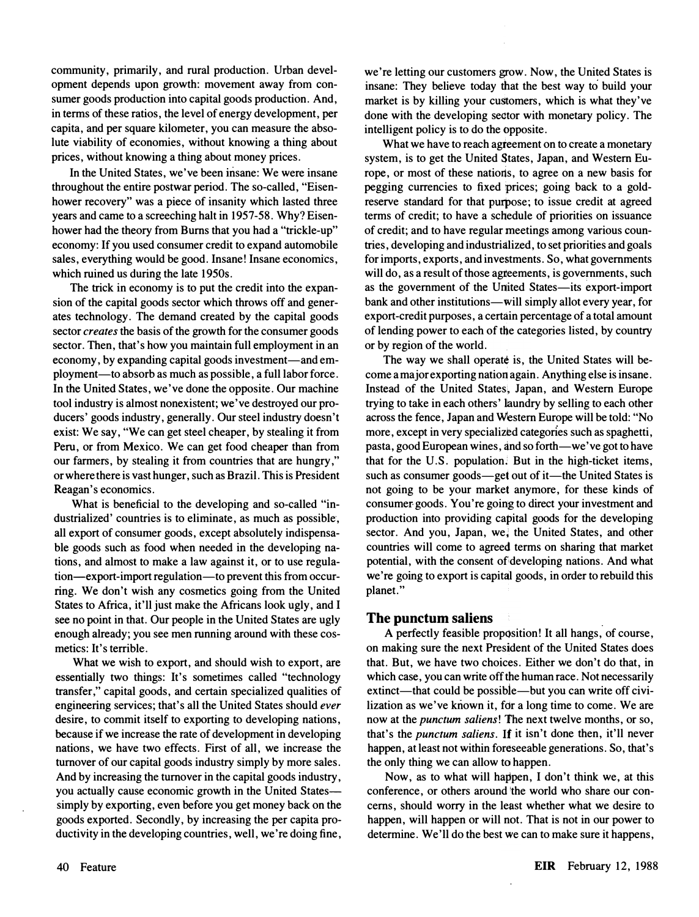community, primarily, and rural production. Urban development depends upon growth: movement away from consumer goods production into capital goods production. And, in terms of these ratios, the level of energy development, per capita, and per square kilometer, you can measure the absolute viability of economies, without knowing a thing about prices, without knowing a thing about money prices.

In the United States, we've been insane: We were insane throughout the entire postwar period. The so-called, "Eisenhower recovery" was a piece of insanity which lasted three years and came to a screeching halt in 1957-58. Why? Eisenhower had the theory from Burns that you had a "trickle-up" economy: If you used consumer credit to expand automobile sales, everything would be good. Insane! Insane economics, which ruined us during the late 1950s.

The trick in economy is to put the credit into the expansion of the capital goods sector which throws off and generates technology. The demand created by the capital goods sector creates the basis of the growth for the consumer goods sector. Then, that's how you maintain full employment in an economy, by expanding capital goods investment—and employment-to absorb as much as possible, a full labor force. In the United States, we've done the opposite. Our machine tool industry is almost nonexistent; we've destroyed our producers' goods industry, generally. Our steel industry doesn't exist: We say, "We can get steel cheaper, by stealing it from Peru, or from Mexico. We can get food cheaper than from our farmers, by stealing it from countries that are hungry," or where there is vast hunger, such as Brazil. This is President Reagan's economics.

What is beneficial to the developing and so-called "industrialized' countries is to eliminate, as much as possible', all export of consumer goods, except absolutely indispensable goods such as food when needed in the developing nations, and almost to make a law against it, or to use regulation-export-import regulation-to prevent this from occurring. We don't wish any cosmetics going from the United States to Africa, it'll just make the Africans look ugly, and I see no point in that. Our people in the United States are ugly enough already; you see men running around with these cosmetics: It's terrible.

What we wish to export, and should wish to export, are essentially two things: It's sometimes called "technology transfer," capital goods, and certain specialized qualities of engineering services; that's all the United States should ever desire, to commit itself to exporting to developing nations, because if we increase the rate of development in developing nations, we have two effects. First of all, we increase the turnover of our capital goods industry simply by more sales. And by increasing the turnover in the capital goods industry , you actually cause economic growth in the United Statessimply by exporting, even before you get money back on the goods exported. Secondly, by increasing the per capita productivity in the developing countries, well, we're doing fine,

we're letting our customers grow. Now, the United States is insane: They believe today that the best way to build your market is by killing your customers, which is what they've done with the developing sector with monetary policy. The intelligent policy is to do the opposite.

What we have to reach agreement on to create a monetary system, is to get the United States, Japan, and Western Europe, or most of these nations, to agree on a new basis for pegging currencies to fixed prices; going back to a goldreserve standard for that purpose; to issue credit at agreed terms of credit; to have a schedule of priorities on issuance of credit; and to have regular meetings among various countries, developing and industrialized, to set priorities and goals for imports, exports, and investments. So, what governments will do, as a result of those agreements, is governments, such as the government of the United States-its export-import bank and other institutions—will simply allot every year, for export-credit purposes, a certain percentage of a total amount of lending power to each of the categories listed, by country or by region of the world.

The way we shall operate is, the United States will become a major exporting nation again. Anything else is insane. Instead of the United States, Japan, and Western Europe trying to take in each others' laundry by selling to each other across the fence, Japan and Western Europe will be told: "No more, except in very specialized categories such as spaghetti, pasta, good European wines, and so forth-we've got to have that for the U. S. population: But in the high-ticket items, such as consumer goods—get out of it-the United States is not going to be your market anymore, for these kinds of consumer-goods. You're going to direct your investment and production into providing capital goods for the developing sector. And you, Japan, we; the United States, and other countries will come to agreed terms on sharing that market potential, with the consent of developing nations. And what we're going to export is capital goods, in order to rebuild this planet."

## The punctum saliens

A perfectly feasible proposition! It all hangs, of course, on making sure the next President of the United States does that. But, we have two choices. Either we don't do that, in which case, you can write off the human race. Not necessarily extinct—that could be possible—but you can write off civilization as we've known it, for a long time to come. We are now at the punctum saliens! The next twelve months, or so, that's the punctum saliens. If it isn't done then, it'll never happen, at least not within foreseeable generations. So, that's the only thing we can allow to happen.

Now, as to what will happen, I don't think we, at this conference, or others around 'the world who share our concerns, should worry in the least whether what we desire to happen, will happen or will not. That is not in our power to determine. We'll do the best we can to make sure it happens,